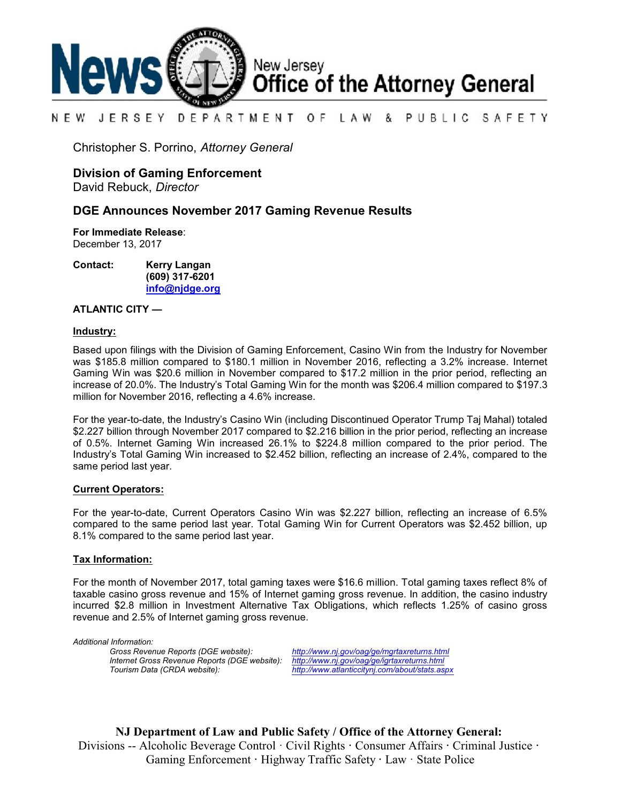

#### NEW JERSEY DEPARTMENT OF. LAW & PUBLIC SAFETY

Christopher S. Porrino, *Attorney General*

## **Division of Gaming Enforcement**

David Rebuck, *Director*

### **DGE Announces November 2017 Gaming Revenue Results**

**For Immediate Release**: December 13, 2017

**Contact: Kerry Langan (609) 317-6201**

**[info@njdge.org](file:///|//info@njdge.org)**

### **ATLANTIC CITY —**

#### **Industry:**

Based upon filings with the Division of Gaming Enforcement, Casino Win from the Industry for November was \$185.8 million compared to \$180.1 million in November 2016, reflecting a 3.2% increase. Internet Gaming Win was \$20.6 million in November compared to \$17.2 million in the prior period, reflecting an increase of 20.0%. The Industry's Total Gaming Win for the month was \$206.4 million compared to \$197.3 million for November 2016, reflecting a 4.6% increase.

For the year-to-date, the Industry's Casino Win (including Discontinued Operator Trump Taj Mahal) totaled \$2.227 billion through November 2017 compared to \$2.216 billion in the prior period, reflecting an increase of 0.5%. Internet Gaming Win increased 26.1% to \$224.8 million compared to the prior period. The Industry's Total Gaming Win increased to \$2.452 billion, reflecting an increase of 2.4%, compared to the same period last year.

#### **Current Operators:**

For the year-to-date, Current Operators Casino Win was \$2.227 billion, reflecting an increase of 6.5% compared to the same period last year. Total Gaming Win for Current Operators was \$2.452 billion, up 8.1% compared to the same period last year.

#### **Tax Information:**

For the month of November 2017, total gaming taxes were \$16.6 million. Total gaming taxes reflect 8% of taxable casino gross revenue and 15% of Internet gaming gross revenue. In addition, the casino industry incurred \$2.8 million in Investment Alternative Tax Obligations, which reflects 1.25% of casino gross revenue and 2.5% of Internet gaming gross revenue.

*Additional Information: Internet Gross Revenue Reports (DGE website): <http://www.nj.gov/oag/ge/igrtaxreturns.html>*

*Gross Revenue Reports (DGE website): <http://www.nj.gov/oag/ge/mgrtaxreturns.html> Tourism Data (CRDA website): <http://www.atlanticcitynj.com/about/stats.aspx>*

**NJ Department of Law and Public Safety / Office of the Attorney General:** Divisions -- Alcoholic Beverage Control · Civil Rights **·** Consumer Affairs **·** Criminal Justice **·**  Gaming Enforcement **·** Highway Traffic Safety **·** Law · State Police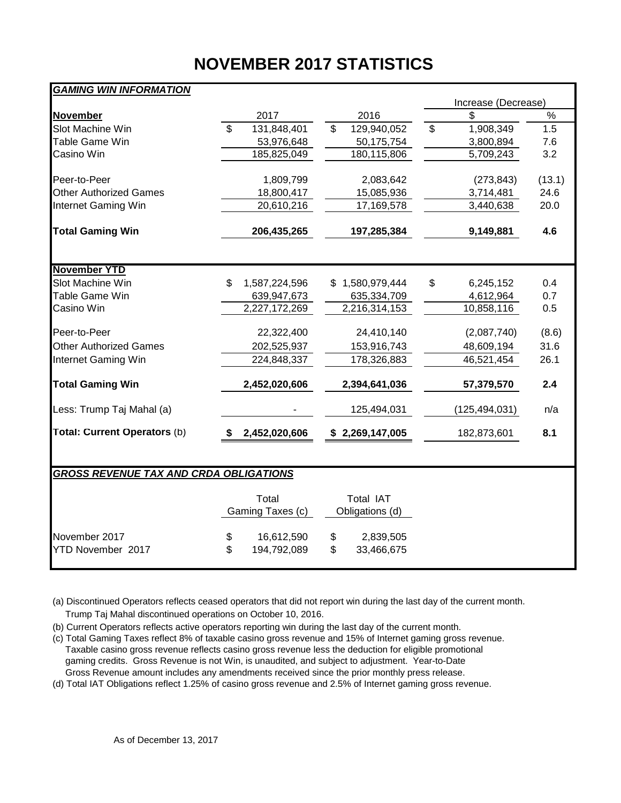# **NOVEMBER 2017 STATISTICS**

| <b>GAMING WIN INFORMATION</b>                 |                           |                           |                 |                                     |    |                     |        |  |  |  |  |  |
|-----------------------------------------------|---------------------------|---------------------------|-----------------|-------------------------------------|----|---------------------|--------|--|--|--|--|--|
|                                               |                           |                           |                 |                                     |    | Increase (Decrease) |        |  |  |  |  |  |
| <b>November</b>                               | 2017                      |                           |                 | 2016                                |    | \$                  | $\%$   |  |  |  |  |  |
| Slot Machine Win                              | $\overline{\mathbf{s}}$   | 131,848,401               | \$              | 129,940,052                         | \$ | 1,908,349           | 1.5    |  |  |  |  |  |
| Table Game Win                                |                           | 53,976,648                |                 | 50,175,754                          |    | 3,800,894           | 7.6    |  |  |  |  |  |
| Casino Win                                    |                           | 185,825,049               |                 | 180,115,806                         |    | 5,709,243           | 3.2    |  |  |  |  |  |
| Peer-to-Peer                                  |                           | 1,809,799                 |                 | 2,083,642                           |    | (273, 843)          | (13.1) |  |  |  |  |  |
| <b>Other Authorized Games</b>                 |                           | 18,800,417                |                 | 15,085,936                          |    | 3,714,481           | 24.6   |  |  |  |  |  |
| Internet Gaming Win                           |                           | 20,610,216                |                 | 17,169,578                          |    | 3,440,638           | 20.0   |  |  |  |  |  |
| <b>Total Gaming Win</b>                       | 206,435,265               |                           | 197,285,384     |                                     |    | 9,149,881           | 4.6    |  |  |  |  |  |
| <b>November YTD</b>                           |                           |                           |                 |                                     |    |                     |        |  |  |  |  |  |
| Slot Machine Win                              | 1,587,224,596<br>\$       |                           |                 | 1,580,979,444                       | \$ | 6,245,152           | 0.4    |  |  |  |  |  |
| Table Game Win                                |                           | 639,947,673               |                 | 635,334,709                         |    | 4,612,964           | 0.7    |  |  |  |  |  |
| Casino Win                                    | 2,227,172,269             |                           |                 | 2,216,314,153                       |    | 10,858,116          | 0.5    |  |  |  |  |  |
| Peer-to-Peer                                  |                           | 22,322,400                |                 | 24,410,140                          |    | (2,087,740)         | (8.6)  |  |  |  |  |  |
| <b>Other Authorized Games</b>                 |                           | 202,525,937               |                 | 153,916,743                         |    | 48,609,194          | 31.6   |  |  |  |  |  |
| Internet Gaming Win                           |                           | 224,848,337               |                 | 178,326,883                         |    | 46,521,454          | 26.1   |  |  |  |  |  |
| <b>Total Gaming Win</b>                       | 2,452,020,606             |                           |                 | 2,394,641,036                       |    | 57,379,570          | 2.4    |  |  |  |  |  |
| Less: Trump Taj Mahal (a)                     |                           |                           |                 | 125,494,031                         |    | (125, 494, 031)     | n/a    |  |  |  |  |  |
| Total: Current Operators (b)                  | 2,452,020,606<br>S        |                           | \$2,269,147,005 |                                     |    | 182,873,601         | 8.1    |  |  |  |  |  |
| <b>GROSS REVENUE TAX AND CRDA OBLIGATIONS</b> |                           |                           |                 |                                     |    |                     |        |  |  |  |  |  |
|                                               |                           |                           |                 |                                     |    |                     |        |  |  |  |  |  |
|                                               | Total<br>Gaming Taxes (c) |                           |                 | <b>Total IAT</b><br>Obligations (d) |    |                     |        |  |  |  |  |  |
| November 2017<br>YTD November 2017            | \$<br>\$                  | 16,612,590<br>194,792,089 | \$<br>\$        | 2,839,505<br>33,466,675             |    |                     |        |  |  |  |  |  |

(a) Discontinued Operators reflects ceased operators that did not report win during the last day of the current month. Trump Taj Mahal discontinued operations on October 10, 2016.

(b) Current Operators reflects active operators reporting win during the last day of the current month.

(c) Total Gaming Taxes reflect 8% of taxable casino gross revenue and 15% of Internet gaming gross revenue. Taxable casino gross revenue reflects casino gross revenue less the deduction for eligible promotional gaming credits. Gross Revenue is not Win, is unaudited, and subject to adjustment. Year-to-Date Gross Revenue amount includes any amendments received since the prior monthly press release.

(d) Total IAT Obligations reflect 1.25% of casino gross revenue and 2.5% of Internet gaming gross revenue.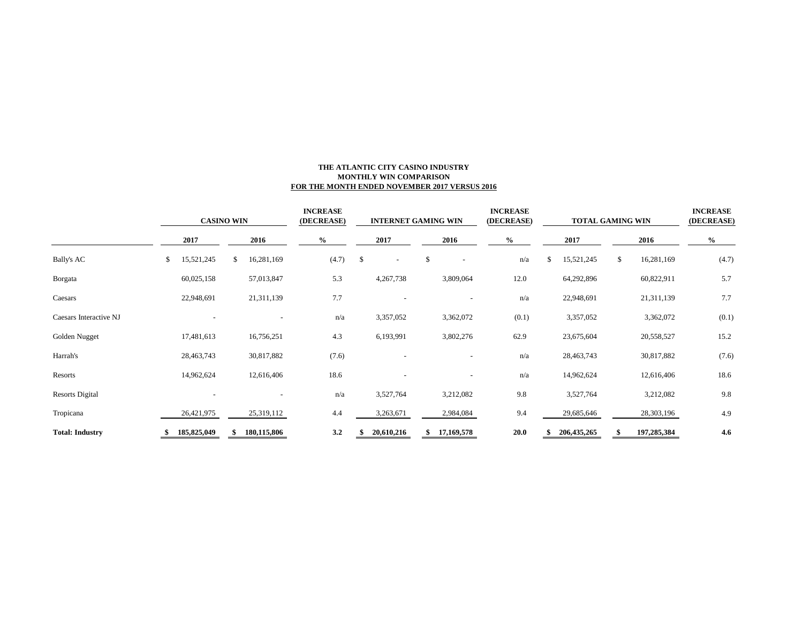# **INCREASE INCREASE INCREASE (DECREASE) (DECREASE) (DECREASE) CASINO WIN INTERNET GAMING WIN TOTAL GAMING WIN2017 2016 % 2017 2016 % 2017 2016 %** Bally's AC \$ 15,521,245 \$ 16,281,169 (4.7) \$ - n/a \$ 15,521,245 \$ 16,281,169 (4.7) Borgata 60,025,158 57,013,847 5.3 4,267,738 3,809,064 12.0 64,292,896 60,822,911 5.7 Caesars 22,948,691 21,311,139 7.7 - n/a 22,948,691 21,311,139 7.7 Caesars Interactive NJ - - - - - - n/a 3,357,052 3,362,072 (0.1) 3,357,052 3,362,072 (0.1) Golden Nugget 17,481,613 16,756,251 4.3 6,193,991 3,802,276 62.9 23,675,604 20,558,527 15.2 Harrah's 28,463,743 30,817,882 (7.6) - - n/a 28,463,743 30,817,882 (7.6) Resorts 14,962,624 12,616,406 18.6 - n/a 14,962,624 12,616,406 18.6

Resorts Digital 2001 2012 10:00 10:00 10:00 10:00 10:00 10:00 10:00 10:00 10:00 10:00 10:00 10:00 10:00 10:00 10:00 10:00 10:00 10:00 10:00 10:00 10:00 10:00 10:00 10:00 10:00 10:00 10:00 10:00 10:00 10:00 10:00 10:00 10:0 Tropicana 26,421,975 25,319,112 4.4 3,263,671 2,984,084 9.4 29,685,646 28,303,196 4.9 **Total: Industry \$ 185,825,049 \$ 180,115,806 3.2 \$ 20,610,216 \$ 17,169,578 20.0 \$ 206,435,265 \$ 197,285,384 4.6**

#### **THE ATLANTIC CITY CASINO INDUSTRY MONTHLY WIN COMPARISON FOR THE MONTH ENDED NOVEMBER 2017 VERSUS 2016**